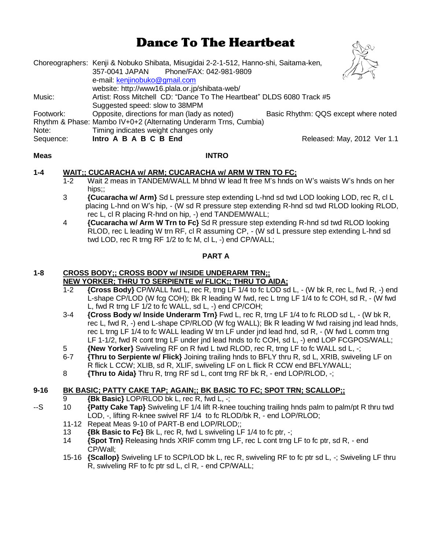# Dance To The Heartbeat

|           | Choreographers: Kenji & Nobuko Shibata, Misugidai 2-2-1-512, Hanno-shi, Saitama-ken,<br>Phone/FAX: 042-981-9809<br>357-0041 JAPAN<br>e-mail: kenjinobuko@gmail.com |                                      |
|-----------|--------------------------------------------------------------------------------------------------------------------------------------------------------------------|--------------------------------------|
|           | website: http://www16.plala.or.jp/shibata-web/                                                                                                                     |                                      |
| Music:    | Artist: Ross Mitchell CD: "Dance To The Heartbeat" DLDS 6080 Track #5                                                                                              |                                      |
|           | Suggested speed: slow to 38MPM                                                                                                                                     |                                      |
| Footwork: | Opposite, directions for man (lady as noted)                                                                                                                       | Basic Rhythm: QQS except where noted |
|           | Rhythm & Phase: Mambo IV+0+2 (Alternating Underarm Trns, Cumbia)                                                                                                   |                                      |
| Note:     | Timing indicates weight changes only                                                                                                                               |                                      |
| Sequence: | Intro A B A B C B End                                                                                                                                              | Released: May, 2012 Ver 1.1          |
|           |                                                                                                                                                                    |                                      |

#### **Meas INTRO**

# **1-4 WAIT;; CUCARACHA w/ ARM; CUCARACHA w/ ARM W TRN TO FC;**

- 1-2 Wait 2 meas in TANDEM/WALL M bhnd W lead ft free M's hnds on W's waists W's hnds on her hips;;
- 3 **{Cucaracha w/ Arm}** Sd L pressure step extending L-hnd sd twd LOD looking LOD, rec R, cl L placing L-hnd on W's hip, - (W sd R pressure step extending R-hnd sd twd RLOD looking RLOD, rec L, cl R placing R-hnd on hip, -) end TANDEM/WALL;
- 4 **{Cucaracha w/ Arm W Trn to Fc}** Sd R pressure step extending R-hnd sd twd RLOD looking RLOD, rec L leading W trn RF, cl R assuming CP, - (W sd L pressure step extending L-hnd sd twd LOD, rec R trng RF 1/2 to fc M, cl L, -) end CP/WALL;

# **PART A**

# **1-8 CROSS BODY;; CROSS BODY w/ INSIDE UNDERARM TRN;; NEW YORKER; THRU TO SERPIENTE w/ FLICK;; THRU TO AIDA;**

- 1-2 **{Cross Body}** CP/WALL fwd L, rec R, trng LF 1/4 to fc LOD sd L, (W bk R, rec L, fwd R, -) end L-shape CP/LOD (W fcg COH); Bk R leading W fwd, rec L trng LF 1/4 to fc COH, sd R, - (W fwd L, fwd R trng LF 1/2 to fc WALL, sd L, -) end CP/COH;
- 3-4 **{Cross Body w/ Inside Underarm Trn}** Fwd L, rec R, trng LF 1/4 to fc RLOD sd L, (W bk R, rec L, fwd R, -) end L-shape CP/RLOD (W fcg WALL); Bk R leading W fwd raising jnd lead hnds, rec L trng LF 1/4 to fc WALL leading W trn LF under jnd lead hnd, sd R, - (W fwd L comm trng LF 1-1/2, fwd R cont trng LF under jnd lead hnds to fc COH, sd L, -) end LOP FCGPOS/WALL;
- 5 **{New Yorker}** Swiveling RF on R fwd L twd RLOD, rec R, trng LF to fc WALL sd L, -;
- 6-7 **{Thru to Serpiente w/ Flick}** Joining trailing hnds to BFLY thru R, sd L, XRIB, swiveling LF on R flick L CCW; XLIB, sd R, XLIF, swiveling LF on L flick R CCW end BFLY/WALL;
- 8 **{Thru to Aida}** Thru R, trng RF sd L, cont trng RF bk R, end LOP/RLOD, -;

# **9-16 BK BASIC; PATTY CAKE TAP; AGAIN;; BK BASIC TO FC; SPOT TRN; SCALLOP;;**

- 9 **{Bk Basic}** LOP/RLOD bk L, rec R, fwd L, -;
- --S 10 **{Patty Cake Tap}** Swiveling LF 1/4 lift R-knee touching trailing hnds palm to palm/pt R thru twd LOD, -, lifting R-knee swivel RF 1/4 to fc RLOD/bk R, - end LOP/RLOD;
	- 11-12 Repeat Meas 9-10 of PART-B end LOP/RLOD;;
	- 13 **{Bk Basic to Fc}** Bk L, rec R, fwd L swiveling LF 1/4 to fc ptr, -;
	- 14 **{Spot Trn}** Releasing hnds XRIF comm trng LF, rec L cont trng LF to fc ptr, sd R, end CP/Wall;
	- 15-16 **{Scallop}** Swiveling LF to SCP/LOD bk L, rec R, swiveling RF to fc ptr sd L, -; Swiveling LF thru R, swiveling RF to fc ptr sd L, cl R, - end CP/WALL;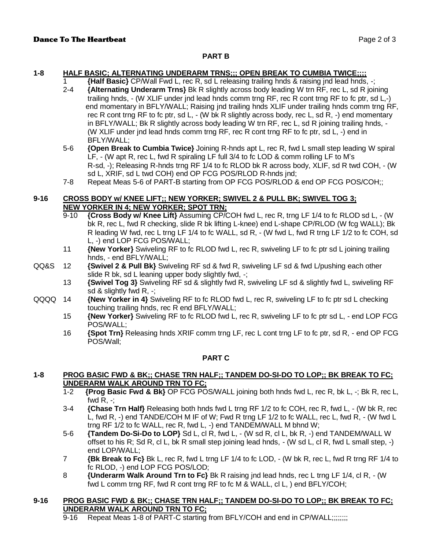#### **PART B**

## **1-8 HALF BASIC; ALTERNATING UNDERARM TRNS;;; OPEN BREAK TO CUMBIA TWICE;;;;**

1 **{Half Basic}** CP/Wall Fwd L, rec R, sd L releasing trailing hnds & raising jnd lead hnds, -;

- 2-4 **{Alternating Underarm Trns}** Bk R slightly across body leading W trn RF, rec L, sd R joining trailing hnds, - (W XLIF under jnd lead hnds comm trng RF, rec R cont trng RF to fc ptr, sd L,-) end momentary in BFLY/WALL; Raising jnd trailing hnds XLIF under trailing hnds comm trng RF, rec R cont trng RF to fc ptr, sd L, - (W bk R slightly across body, rec L, sd R, -) end momentary in BFLY/WALL; Bk R slightly across body leading W trn RF, rec L, sd R joining trailing hnds, - (W XLIF under jnd lead hnds comm trng RF, rec R cont trng RF to fc ptr, sd L, -) end in BFLY/WALL;
- 5-6 **{Open Break to Cumbia Twice}** Joining R-hnds apt L, rec R, fwd L small step leading W spiral LF, - (W apt R, rec L, fwd R spiraling LF full 3/4 to fc LOD & comm rolling LF to M's R-sd, -); Releasing R-hnds trng RF 1/4 to fc RLOD bk R across body, XLIF, sd R twd COH, - (W sd L, XRIF, sd L twd COH) end OP FCG POS/RLOD R-hnds jnd;
- 7-8 Repeat Meas 5-6 of PART-B starting from OP FCG POS/RLOD & end OP FCG POS/COH;;

## **9-16 CROSS BODY w/ KNEE LIFT;; NEW YORKER; SWIVEL 2 & PULL BK; SWIVEL TOG 3; NEW YORKER IN 4; NEW YORKER; SPOT TRN;**

- 9-10 **{Cross Body w/ Knee Lift}** Assuming CP/COH fwd L, rec R, trng LF 1/4 to fc RLOD sd L, (W bk R, rec L, fwd R checking, slide R bk lifting L-knee) end L-shape CP/RLOD (W fcg WALL); Bk R leading W fwd, rec L trng LF 1/4 to fc WALL, sd R, - (W fwd L, fwd R trng LF 1/2 to fc COH, sd L, -) end LOP FCG POS/WALL;
- 11 **{New Yorker}** Swiveling RF to fc RLOD fwd L, rec R, swiveling LF to fc ptr sd L joining trailing hnds, - end BFLY/WALL;
- QQ&S 12 **{Swivel 2 & Pull Bk}** Swiveling RF sd & fwd R, swiveling LF sd & fwd L/pushing each other slide R bk, sd L leaning upper body slightly fwd, -;
	- 13 **{Swivel Tog 3}** Swiveling RF sd & slightly fwd R, swiveling LF sd & slightly fwd L, swiveling RF sd & slightly fwd R, -;
- QQQQ 14 **{New Yorker in 4}** Swiveling RF to fc RLOD fwd L, rec R, swiveling LF to fc ptr sd L checking touching trailing hnds, rec R end BFLY/WALL;
	- 15 **{New Yorker}** Swiveling RF to fc RLOD fwd L, rec R, swiveling LF to fc ptr sd L, end LOP FCG POS/WALL;
	- 16 **{Spot Trn}** Releasing hnds XRIF comm trng LF, rec L cont trng LF to fc ptr, sd R, end OP FCG POS/Wall;

#### **PART C**

#### **1-8 PROG BASIC FWD & BK;; CHASE TRN HALF;; TANDEM DO-SI-DO TO LOP;; BK BREAK TO FC; UNDERARM WALK AROUND TRN TO FC;**

- 1-2 **{Prog Basic Fwd & Bk}** OP FCG POS/WALL joining both hnds fwd L, rec R, bk L, -; Bk R, rec L, fwd  $R_{\cdot}$  -:
- 3-4 **{Chase Trn Half}** Releasing both hnds fwd L trng RF 1/2 to fc COH, rec R, fwd L, (W bk R, rec L, fwd R, -) end TANDE/COH M IF of W; Fwd R trng LF 1/2 to fc WALL, rec L, fwd R, - (W fwd L trng RF 1/2 to fc WALL, rec R, fwd L, -) end TANDEM/WALL M bhnd W;
- 5-6 **{Tandem Do-Si-Do to LOP}** Sd L, cl R, fwd L, (W sd R, cl L, bk R, -) end TANDEM/WALL W offset to his R; Sd R, cl L, bk R small step joining lead hnds, - (W sd L, cl R, fwd L small step, -) end LOP/WALL;
- 7 **{Bk Break to Fc}** Bk L, rec R, fwd L trng LF 1/4 to fc LOD, (W bk R, rec L, fwd R trng RF 1/4 to fc RLOD, -) end LOP FCG POS/LOD;
- 8 **{Underarm Walk Around Trn to Fc}** Bk R raising jnd lead hnds, rec L trng LF 1/4, cl R, (W fwd L comm trng RF, fwd R cont trng RF to fc M & WALL, cl L, ) end BFLY/COH;

#### **9-16 PROG BASIC FWD & BK;; CHASE TRN HALF;; TANDEM DO-SI-DO TO LOP;; BK BREAK TO FC; UNDERARM WALK AROUND TRN TO FC;**

9-16 Repeat Meas 1-8 of PART-C starting from BFLY/COH and end in CP/WALL;;;;;;;;